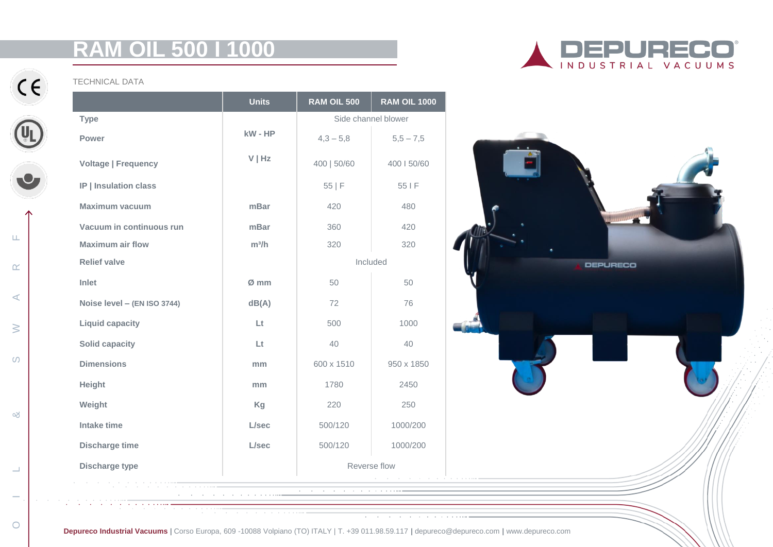# **RAM OIL 500 I 1000**



 $C \in$ 

 $\begin{array}{c} 1 \\ -1 \end{array}$ 

&

S W A R F

 $\geq$ 

 $\circ$ 

 $\mathsf{L}\mathsf{L}$ 

 $\alpha$ 

 $\prec$ 

TECHNICAL DATA

|                             | <b>Units</b> | RAM OIL 500         | <b>RAM OIL 1000</b> |
|-----------------------------|--------------|---------------------|---------------------|
| <b>Type</b>                 |              | Side channel blower |                     |
| Power                       | kW - HP      | $4,3 - 5,8$         | $5,5 - 7,5$         |
| <b>Voltage   Frequency</b>  | $V$   Hz     | 400   50/60         | 400   50/60         |
| IP   Insulation class       |              | 55 F                | 55 I F              |
| <b>Maximum vacuum</b>       | mBar         | 420                 | 480                 |
| Vacuum in continuous run    | mBar         | 360                 | 420                 |
| <b>Maximum air flow</b>     | $m^3/h$      | 320                 | 320                 |
| <b>Relief valve</b>         |              | Included            |                     |
| Inlet                       | Ø mm         | 50                  | 50                  |
| Noise level - (EN ISO 3744) | dB(A)        | 72                  | 76                  |
| <b>Liquid capacity</b>      | Lt.          | 500                 | 1000                |
| <b>Solid capacity</b>       | Lt.          | 40                  | 40                  |
| <b>Dimensions</b>           | mm           | 600 x 1510          | 950 x 1850          |
| Height                      | mm           | 1780                | 2450                |
| Weight                      | Kg           | 220                 | 250                 |
| Intake time                 | L/sec        | 500/120             | 1000/200            |
| <b>Discharge time</b>       | L/sec        | 500/120             | 1000/200            |
| <b>Discharge type</b>       |              | Reverse flow        |                     |





**Depureco Industrial Vacuums |** Corso Europa, 609 -10088 Volpiano (TO) ITALY | T. +39 011.98.59.117 **|** depureco@depureco.com **|** www.depureco.com